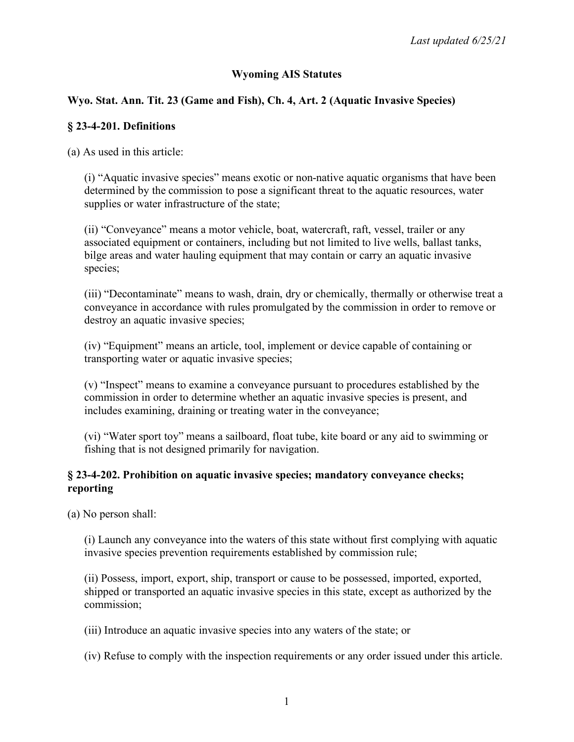# **Wyoming AIS Statutes**

# **Wyo. Stat. Ann. Tit. 23 (Game and Fish), Ch. 4, Art. 2 (Aquatic Invasive Species)**

### **§ 23-4-201. Definitions**

(a) As used in this article:

(i) "Aquatic invasive species" means exotic or non-native aquatic organisms that have been determined by the commission to pose a significant threat to the aquatic resources, water supplies or water infrastructure of the state;

(ii) "Conveyance" means a motor vehicle, boat, watercraft, raft, vessel, trailer or any associated equipment or containers, including but not limited to live wells, ballast tanks, bilge areas and water hauling equipment that may contain or carry an aquatic invasive species;

(iii) "Decontaminate" means to wash, drain, dry or chemically, thermally or otherwise treat a conveyance in accordance with rules promulgated by the commission in order to remove or destroy an aquatic invasive species;

(iv) "Equipment" means an article, tool, implement or device capable of containing or transporting water or aquatic invasive species;

(v) "Inspect" means to examine a conveyance pursuant to procedures established by the commission in order to determine whether an aquatic invasive species is present, and includes examining, draining or treating water in the conveyance;

(vi) "Water sport toy" means a sailboard, float tube, kite board or any aid to swimming or fishing that is not designed primarily for navigation.

### **§ 23-4-202. Prohibition on aquatic invasive species; mandatory conveyance checks; reporting**

(a) No person shall:

(i) Launch any conveyance into the waters of this state without first complying with aquatic invasive species prevention requirements established by commission rule;

(ii) Possess, import, export, ship, transport or cause to be possessed, imported, exported, shipped or transported an aquatic invasive species in this state, except as authorized by the commission;

(iii) Introduce an aquatic invasive species into any waters of the state; or

(iv) Refuse to comply with the inspection requirements or any order issued under this article.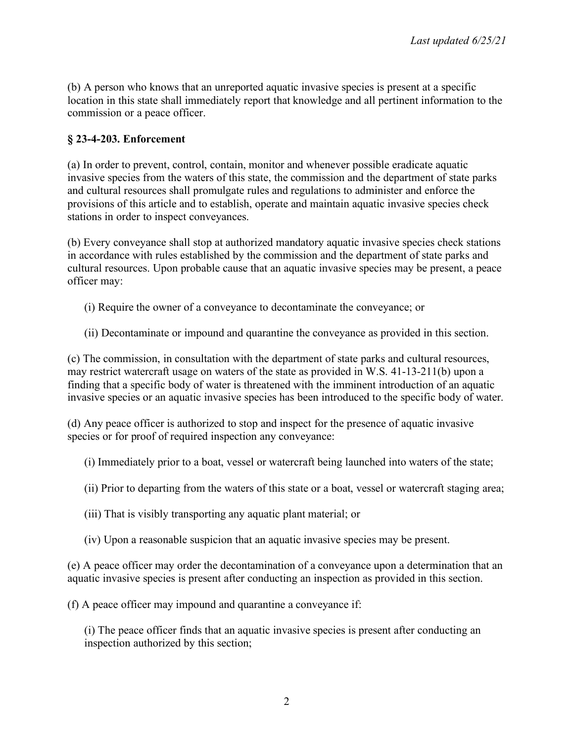(b) A person who knows that an unreported aquatic invasive species is present at a specific location in this state shall immediately report that knowledge and all pertinent information to the commission or a peace officer.

### **§ 23-4-203. Enforcement**

(a) In order to prevent, control, contain, monitor and whenever possible eradicate aquatic invasive species from the waters of this state, the commission and the department of state parks and cultural resources shall promulgate rules and regulations to administer and enforce the provisions of this article and to establish, operate and maintain aquatic invasive species check stations in order to inspect conveyances.

(b) Every conveyance shall stop at authorized mandatory aquatic invasive species check stations in accordance with rules established by the commission and the department of state parks and cultural resources. Upon probable cause that an aquatic invasive species may be present, a peace officer may:

- (i) Require the owner of a conveyance to decontaminate the conveyance; or
- (ii) Decontaminate or impound and quarantine the conveyance as provided in this section.

(c) The commission, in consultation with the department of state parks and cultural resources, may restrict watercraft usage on waters of the state as provided in W.S. 41-13-211(b) upon a finding that a specific body of water is threatened with the imminent introduction of an aquatic invasive species or an aquatic invasive species has been introduced to the specific body of water.

(d) Any peace officer is authorized to stop and inspect for the presence of aquatic invasive species or for proof of required inspection any conveyance:

(i) Immediately prior to a boat, vessel or watercraft being launched into waters of the state;

- (ii) Prior to departing from the waters of this state or a boat, vessel or watercraft staging area;
- (iii) That is visibly transporting any aquatic plant material; or
- (iv) Upon a reasonable suspicion that an aquatic invasive species may be present.

(e) A peace officer may order the decontamination of a conveyance upon a determination that an aquatic invasive species is present after conducting an inspection as provided in this section.

(f) A peace officer may impound and quarantine a conveyance if:

(i) The peace officer finds that an aquatic invasive species is present after conducting an inspection authorized by this section;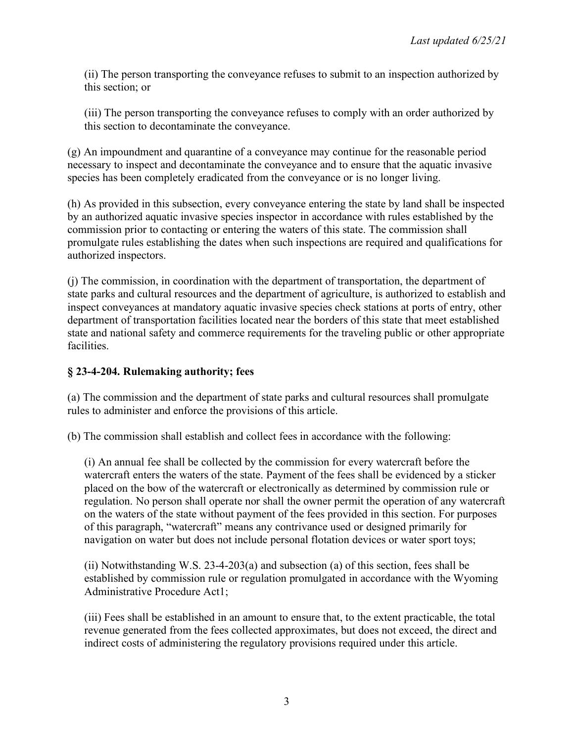(ii) The person transporting the conveyance refuses to submit to an inspection authorized by this section; or

(iii) The person transporting the conveyance refuses to comply with an order authorized by this section to decontaminate the conveyance.

(g) An impoundment and quarantine of a conveyance may continue for the reasonable period necessary to inspect and decontaminate the conveyance and to ensure that the aquatic invasive species has been completely eradicated from the conveyance or is no longer living.

(h) As provided in this subsection, every conveyance entering the state by land shall be inspected by an authorized aquatic invasive species inspector in accordance with rules established by the commission prior to contacting or entering the waters of this state. The commission shall promulgate rules establishing the dates when such inspections are required and qualifications for authorized inspectors.

(j) The commission, in coordination with the department of transportation, the department of state parks and cultural resources and the department of agriculture, is authorized to establish and inspect conveyances at mandatory aquatic invasive species check stations at ports of entry, other department of transportation facilities located near the borders of this state that meet established state and national safety and commerce requirements for the traveling public or other appropriate facilities.

#### **§ 23-4-204. Rulemaking authority; fees**

(a) The commission and the department of state parks and cultural resources shall promulgate rules to administer and enforce the provisions of this article.

(b) The commission shall establish and collect fees in accordance with the following:

(i) An annual fee shall be collected by the commission for every watercraft before the watercraft enters the waters of the state. Payment of the fees shall be evidenced by a sticker placed on the bow of the watercraft or electronically as determined by commission rule or regulation. No person shall operate nor shall the owner permit the operation of any watercraft on the waters of the state without payment of the fees provided in this section. For purposes of this paragraph, "watercraft" means any contrivance used or designed primarily for navigation on water but does not include personal flotation devices or water sport toys;

(ii) Notwithstanding W.S. 23-4-203(a) and subsection (a) of this section, fees shall be established by commission rule or regulation promulgated in accordance with the Wyoming Administrative Procedure Act1;

(iii) Fees shall be established in an amount to ensure that, to the extent practicable, the total revenue generated from the fees collected approximates, but does not exceed, the direct and indirect costs of administering the regulatory provisions required under this article.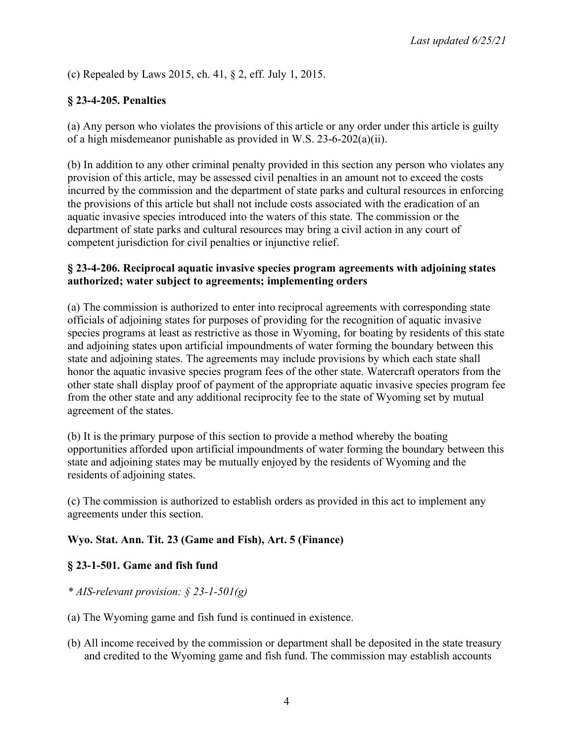(c) Repealed by Laws 2015, ch. 41, § 2, eff. July 1, 2015.

## **§ 23-4-205. Penalties**

(a) Any person who violates the provisions of this article or any order under this article is guilty of a high misdemeanor punishable as provided in W.S. 23-6-202(a)(ii).

(b) In addition to any other criminal penalty provided in this section any person who violates any provision of this article, may be assessed civil penalties in an amount not to exceed the costs incurred by the commission and the department of state parks and cultural resources in enforcing the provisions of this article but shall not include costs associated with the eradication of an aquatic invasive species introduced into the waters of this state. The commission or the department of state parks and cultural resources may bring a civil action in any court of competent jurisdiction for civil penalties or injunctive relief.

#### **§ 23-4-206. Reciprocal aquatic invasive species program agreements with adjoining states authorized; water subject to agreements; implementing orders**

(a) The commission is authorized to enter into reciprocal agreements with corresponding state officials of adjoining states for purposes of providing for the recognition of aquatic invasive species programs at least as restrictive as those in Wyoming, for boating by residents of this state and adjoining states upon artificial impoundments of water forming the boundary between this state and adjoining states. The agreements may include provisions by which each state shall honor the aquatic invasive species program fees of the other state. Watercraft operators from the other state shall display proof of payment of the appropriate aquatic invasive species program fee from the other state and any additional reciprocity fee to the state of Wyoming set by mutual agreement of the states.

(b) It is the primary purpose of this section to provide a method whereby the boating opportunities afforded upon artificial impoundments of water forming the boundary between this state and adjoining states may be mutually enjoyed by the residents of Wyoming and the residents of adjoining states.

(c) The commission is authorized to establish orders as provided in this act to implement any agreements under this section.

## **Wyo. Stat. Ann. Tit. 23 (Game and Fish), Art. 5 (Finance)**

## **§ 23-1-501. Game and fish fund**

- *\* AIS-relevant provision: § 23-1-501(g)*
- (a) The Wyoming game and fish fund is continued in existence.
- (b) All income received by the commission or department shall be deposited in the state treasury and credited to the Wyoming game and fish fund. The commission may establish accounts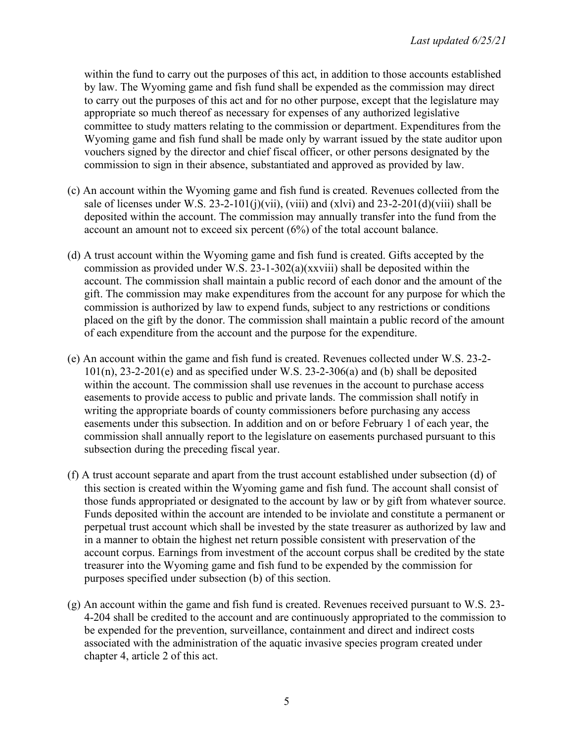within the fund to carry out the purposes of this act, in addition to those accounts established by law. The Wyoming game and fish fund shall be expended as the commission may direct to carry out the purposes of this act and for no other purpose, except that the legislature may appropriate so much thereof as necessary for expenses of any authorized legislative committee to study matters relating to the commission or department. Expenditures from the Wyoming game and fish fund shall be made only by warrant issued by the state auditor upon vouchers signed by the director and chief fiscal officer, or other persons designated by the commission to sign in their absence, substantiated and approved as provided by law.

- (c) An account within the Wyoming game and fish fund is created. Revenues collected from the sale of licenses under W.S. 23-2-101(j)(vii), (viii) and  $(x|vi)$  and 23-2-201(d)(viii) shall be deposited within the account. The commission may annually transfer into the fund from the account an amount not to exceed six percent (6%) of the total account balance.
- (d) A trust account within the Wyoming game and fish fund is created. Gifts accepted by the commission as provided under W.S. 23-1-302(a)(xxviii) shall be deposited within the account. The commission shall maintain a public record of each donor and the amount of the gift. The commission may make expenditures from the account for any purpose for which the commission is authorized by law to expend funds, subject to any restrictions or conditions placed on the gift by the donor. The commission shall maintain a public record of the amount of each expenditure from the account and the purpose for the expenditure.
- (e) An account within the game and fish fund is created. Revenues collected under W.S. 23-2-  $101(n)$ ,  $23-2-201(e)$  and as specified under W.S.  $23-2-306(a)$  and (b) shall be deposited within the account. The commission shall use revenues in the account to purchase access easements to provide access to public and private lands. The commission shall notify in writing the appropriate boards of county commissioners before purchasing any access easements under this subsection. In addition and on or before February 1 of each year, the commission shall annually report to the legislature on easements purchased pursuant to this subsection during the preceding fiscal year.
- (f) A trust account separate and apart from the trust account established under subsection (d) of this section is created within the Wyoming game and fish fund. The account shall consist of those funds appropriated or designated to the account by law or by gift from whatever source. Funds deposited within the account are intended to be inviolate and constitute a permanent or perpetual trust account which shall be invested by the state treasurer as authorized by law and in a manner to obtain the highest net return possible consistent with preservation of the account corpus. Earnings from investment of the account corpus shall be credited by the state treasurer into the Wyoming game and fish fund to be expended by the commission for purposes specified under subsection (b) of this section.
- (g) An account within the game and fish fund is created. Revenues received pursuant to W.S. 23- 4-204 shall be credited to the account and are continuously appropriated to the commission to be expended for the prevention, surveillance, containment and direct and indirect costs associated with the administration of the aquatic invasive species program created under chapter 4, article 2 of this act.